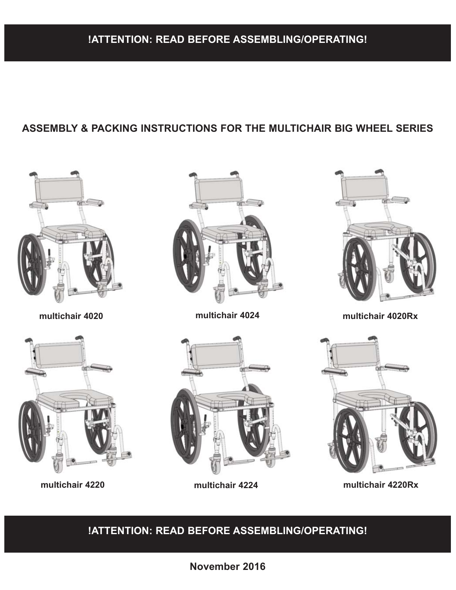### **ASSEMBLY & PACKING INSTRUCTIONS FOR THE MULTICHAIR BIG WHEEL SERIES**







**multichair 4020 multichair 4024 multichair 4020Rx**







**multichair 4220 multichair 4224 multichair 4220Rx**

**!ATTENTION: READ BEFORE ASSEMBLING/OPERATING!**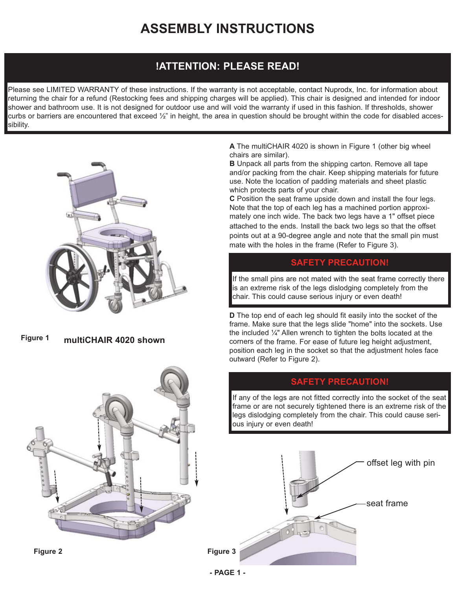# **ASSEMBLY INSTRUCTIONS**

### **!ATTENTION: PLEASE READ!**

Please see LIMITED WARRANTY of these instructions. If the warranty is not acceptable, contact Nuprodx, Inc. for information about returning the chair for a refund (Restocking fees and shipping charges will be applied). This chair is designed and intended for indoor shower and bathroom use. It is not designed for outdoor use and will void the warranty if used in this fashion. If thresholds, shower curbs or barriers are encountered that exceed  $\frac{1}{2}$ " in height, the area in question should be brought within the code for disabled accessibility.



**multiCHAIR 4020 shown Figure 1**



**A** The multiCHAIR 4020 is shown in Figure 1 (other big wheel chairs are similar).

**B** Unpack all parts from the shipping carton. Remove all tape and/or packing from the chair. Keep shipping materials for future use. Note the location of padding materials and sheet plastic which protects parts of your chair.

**C** Position the seat frame upside down and install the four legs. Note that the top of each leg has a machined portion approximately one inch wide. The back two legs have a 1" offset piece attached to the ends. Install the back two legs so that the offset points out at a 90-degree angle and note that the small pin must mate with the holes in the frame (Refer to Figure 3).

### **SAFETY PRECAUTION!**

If the small pins are not mated with the seat frame correctly there is an extreme risk of the legs dislodging completely from the chair. This could cause serious injury or even death!

**D** The top end of each leg should fit easily into the socket of the frame. Make sure that the legs slide "home" into the sockets. Use the included ¼" Allen wrench to tighten the bolts located at the corners of the frame. For ease of future leg height adjustment, position each leg in the socket so that the adjustment holes face outward (Refer to Figure 2).

### **SAFETY PRECAUTION!**

If any of the legs are not fitted correctly into the socket of the seat frame or are not securely tightened there is an extreme risk of the legs dislodging completely from the chair. This could cause serious injury or even death!



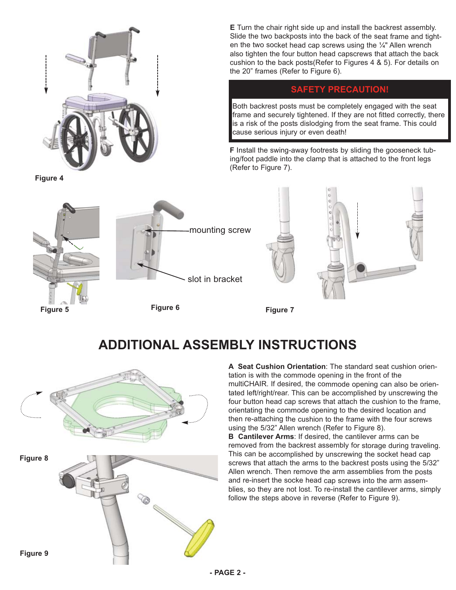

**E** Turn the chair right side up and install the backrest assembly. Slide the two backposts into the back of the seat frame and tighten the two socket head cap screws using the  $\frac{1}{4}$ " Allen wrench also tighten the four button head capscrews that attach the back cushion to the back posts(Refer to Figures 4 & 5). For details on the 20" frames (Refer to Figure 6).

### **SAFETY PRECAUTION!**

Both backrest posts must be completely engaged with the seat frame and securely tightened. If they are not fitted correctly, there is a risk of the posts dislodging from the seat frame. This could cause serious injury or even death!

**F** Install the swing-away footrests by sliding the gooseneck tubing/foot paddle into the clamp that is attached to the front legs (Refer to Figure 7).



## **ADDITIONAL ASSEMBLY INSTRUCTIONS**



**A Seat Cushion Orientation**: The standard seat cushion orientation is with the commode opening in the front of the multiCHAIR. If desired, the commode opening can also be orientated left/right/rear. This can be accomplished by unscrewing the four button head cap screws that attach the cushion to the frame, orientating the commode opening to the desired location and then re-attaching the cushion to the frame with the four screws using the 5/32" Allen wrench (Refer to Figure 8).

**B Cantilever Arms**: If desired, the cantilever arms can be removed from the backrest assembly for storage during traveling. This can be accomplished by unscrewing the socket head cap screws that attach the arms to the backrest posts using the 5/32" Allen wrench. Then remove the arm assemblies from the posts and re-insert the socke head cap screws into the arm assemblies, so they are not lost. To re-install the cantilever arms, simply follow the steps above in reverse (Refer to Figure 9).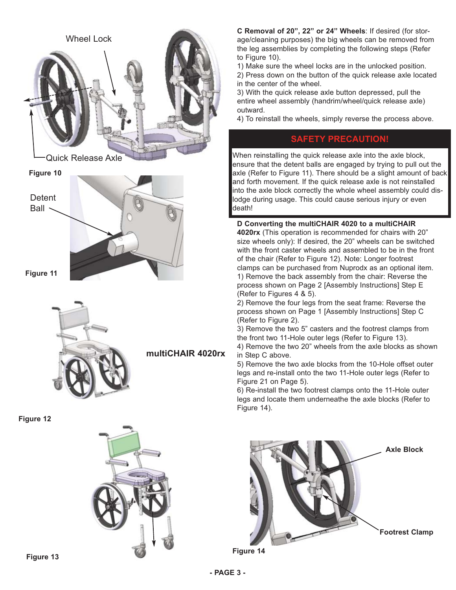

**C Removal of 20", 22" or 24" Wheels**: If desired (for storage/cleaning purposes) the big wheels can be removed from the leg assemblies by completing the following steps (Refer to Figure 10).

1) Make sure the wheel locks are in the unlocked position.

2) Press down on the button of the quick release axle located in the center of the wheel.

3) With the quick release axle button depressed, pull the entire wheel assembly (handrim/wheel/quick release axle) outward.

4) To reinstall the wheels, simply reverse the process above.

### **SAFETY PRECAUTION!**

When reinstalling the quick release axle into the axle block, ensure that the detent balls are engaged by trying to pull out the axle (Refer to Figure 11). There should be a slight amount of back and forth movement. If the quick release axle is not reinstalled into the axle block correctly the whole wheel assembly could dislodge during usage. This could cause serious injury or even death!

**D Converting the multiCHAIR 4020 to a multiCHAIR 4020rx** (This operation is recommended for chairs with 20" size wheels only): If desired, the 20" wheels can be switched with the front caster wheels and assembled to be in the front of the chair (Refer to Figure 12). Note: Longer footrest clamps can be purchased from Nuprodx as an optional item. 1) Remove the back assembly from the chair: Reverse the process shown on Page 2 [Assembly Instructions] Step E (Refer to Figures 4 & 5).

2) Remove the four legs from the seat frame: Reverse the process shown on Page 1 [Assembly Instructions] Step C (Refer to Figure 2).

3) Remove the two 5" casters and the footrest clamps from the front two 11-Hole outer legs (Refer to Figure 13).

4) Remove the two 20" wheels from the axle blocks as shown in Step C above.

5) Remove the two axle blocks from the 10-Hole offset outer legs and re-install onto the two 11-Hole outer legs (Refer to Figure 21 on Page 5).

6) Re-install the two footrest clamps onto the 11-Hole outer legs and locate them underneathe the axle blocks (Refer to Figure 14).



**Figure 14**

**Figure 13**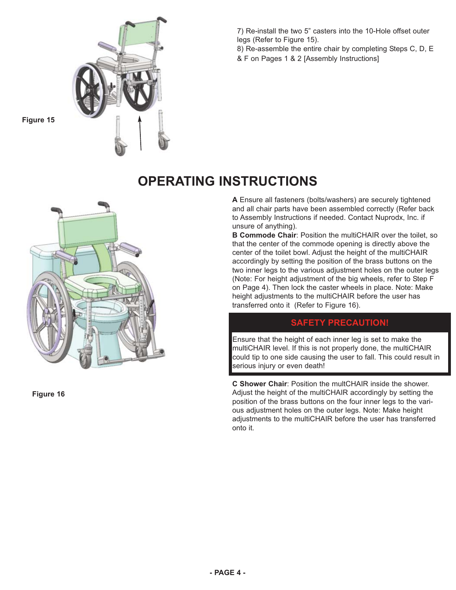

7) Re-install the two 5" casters into the 10-Hole offset outer legs (Refer to Figure 15).

8) Re-assemble the entire chair by completing Steps C, D, E & F on Pages 1 & 2 [Assembly Instructions]

# **Figure 15**



**Figure 16**

## **OPERATING INSTRUCTIONS**

**A** Ensure all fasteners (bolts/washers) are securely tightened and all chair parts have been assembled correctly (Refer back to Assembly Instructions if needed. Contact Nuprodx, Inc. if unsure of anything).

**B Commode Chair**: Position the multiCHAIR over the toilet, so that the center of the commode opening is directly above the center of the toilet bowl. Adjust the height of the multiCHAIR accordingly by setting the position of the brass buttons on the two inner legs to the various adjustment holes on the outer legs (Note: For height adjustment of the big wheels, refer to Step F on Page 4). Then lock the caster wheels in place. Note: Make height adjustments to the multiCHAIR before the user has transferred onto it (Refer to Figure 16).

### **SAFETY PRECAUTION!**

Ensure that the height of each inner leg is set to make the multiCHAIR level. If this is not properly done, the multiCHAIR could tip to one side causing the user to fall. This could result in serious injury or even death!

**C Shower Chair**: Position the multCHAIR inside the shower. Adjust the height of the multiCHAIR accordingly by setting the position of the brass buttons on the four inner legs to the various adjustment holes on the outer legs. Note: Make height adjustments to the multiCHAIR before the user has transferred onto it.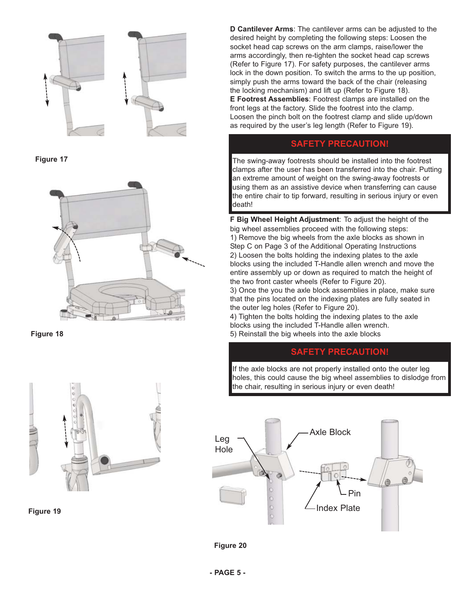

**Figure 17**



**Figure 18**



**Figure 19**

**D Cantilever Arms**: The cantilever arms can be adjusted to the desired height by completing the following steps: Loosen the socket head cap screws on the arm clamps, raise/lower the arms accordingly, then re-tighten the socket head cap screws (Refer to Figure 17). For safety purposes, the cantilever arms lock in the down position. To switch the arms to the up position, simply push the arms toward the back of the chair (releasing the locking mechanism) and lift up (Refer to Figure 18). **E Footrest Assemblies**: Footrest clamps are installed on the front legs at the factory. Slide the footrest into the clamp. Loosen the pinch bolt on the footrest clamp and slide up/down as required by the user's leg length (Refer to Figure 19).

### **SAFETY PRECAUTION!**

The swing-away footrests should be installed into the footrest clamps after the user has been transferred into the chair. Putting an extreme amount of weight on the swing-away footrests or using them as an assistive device when transferring can cause the entire chair to tip forward, resulting in serious injury or even death!

**F Big Wheel Height Adjustment**: To adjust the height of the big wheel assemblies proceed with the following steps: 1) Remove the big wheels from the axle blocks as shown in Step C on Page 3 of the Additional Operating Instructions 2) Loosen the bolts holding the indexing plates to the axle blocks using the included T-Handle allen wrench and move the entire assembly up or down as required to match the height of the two front caster wheels (Refer to Figure 20).

3) Once the you the axle block assemblies in place, make sure that the pins located on the indexing plates are fully seated in the outer leg holes (Refer to Figure 20).

4) Tighten the bolts holding the indexing plates to the axle blocks using the included T-Handle allen wrench. 5) Reinstall the big wheels into the axle blocks

### **SAFETY PRECAUTION!**

If the axle blocks are not properly installed onto the outer leg holes, this could cause the big wheel assemblies to dislodge from the chair, resulting in serious injury or even death!



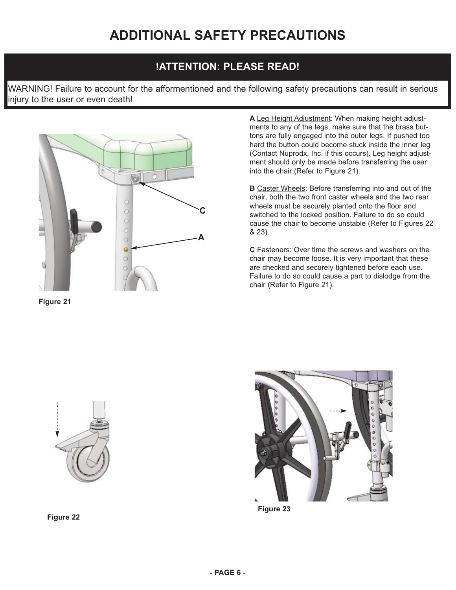### **!ATTENTION: PLEASE READ!**

WARNING! Failure to account for the afformentioned and the following safety precautions can result in serious injury to the user or even death!



**Figure 21**

**A** Leg Height Adjustment: When making height adjustments to any of the legs, make sure that the brass buttons are fully engaged into the outer legs. If pushed too hard the button could become stuck inside the inner leg (Contact Nuprodx, Inc. if this occurs). Leg height adjustment should only be made before transferring the user into the chair (Refer to Figure 21).

**B** Caster Wheels: Before transferring into and out of the chair, both the two front caster wheels and the two rear wheels must be securely planted onto the floor and switched to the locked position. Failure to do so could cause the chair to become unstable (Refer to Figures 22 & 23).

**C** Fasteners: Over time the screws and washers on the chair may become loose. It is very important that these are checked and securely tightened before each use. Failure to do so could cause a part to dislodge from the chair (Refer to Figure 21).



**Figure 22**



**Figure 23**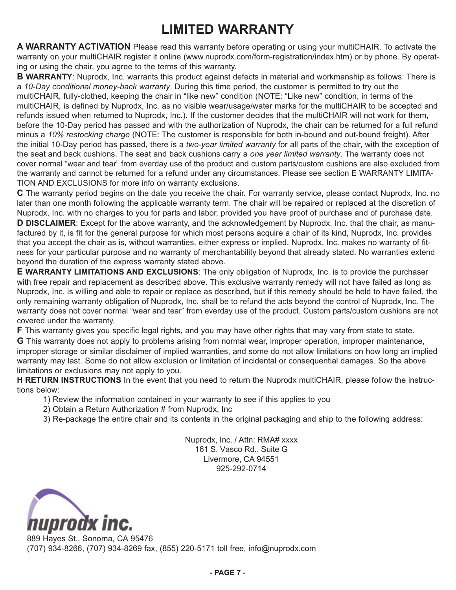# **LIMITED WARRANTY**

**A WARRANTY ACTIVATION** Please read this warranty before operating or using your multiCHAIR. To activate the warranty on your multiCHAIR register it online (www.nuprodx.com/form-registration/index.htm) or by phone. By operating or using the chair, you agree to the terms of this warranty.

**B WARRANTY**: Nuprodx, Inc. warrants this product against defects in material and workmanship as follows: There is a *10-Day conditional money-back warranty*. During this time period, the customer is permitted to try out the multiCHAIR, fully-clothed, keeping the chair in "like new" condition (NOTE: "Like new" condition, in terms of the multiCHAIR, is defined by Nuprodx, Inc. as no visible wear/usage/water marks for the multiCHAIR to be accepted and refunds issued when returned to Nuprodx, Inc.). If the customer decides that the multiCHAIR will not work for them, before the 10-Day period has passed and with the authorization of Nuprodx, the chair can be returned for a full refund minus a *10% restocking charge* (NOTE: The customer is responsible for both in-bound and out-bound freight). After the initial 10-Day period has passed, there is a *two-year limited warranty* for all parts of the chair, with the exception of the seat and back cushions. The seat and back cushions carry a *one year limited warranty*. The warranty does not cover normal "wear and tear" from everday use of the product and custom parts/custom cushions are also excluded from the warranty and cannot be returned for a refund under any circumstances. Please see section E WARRANTY LIMITA-TION AND EXCLUSIONS for more info on warranty exclusions.

**C** The warranty period begins on the date you receive the chair. For warranty service, please contact Nuprodx, Inc. no later than one month following the applicable warranty term. The chair will be repaired or replaced at the discretion of Nuprodx, Inc. with no charges to you for parts and labor, provided you have proof of purchase and of purchase date. **D DISCLAIMER**: Except for the above warranty, and the acknowledgement by Nuprodx, Inc. that the chair, as manufactured by it, is fit for the general purpose for which most persons acquire a chair of its kind, Nuprodx, Inc. provides that you accept the chair as is, without warranties, either express or implied. Nuprodx, Inc. makes no warranty of fitness for your particular purpose and no warranty of merchantability beyond that already stated. No warranties extend beyond the duration of the express warranty stated above.

**E WARRANTY LIMITATIONS AND EXCLUSIONS**: The only obligation of Nuprodx, Inc. is to provide the purchaser with free repair and replacement as described above. This exclusive warranty remedy will not have failed as long as Nuprodx, Inc. is willing and able to repair or replace as described, but if this remedy should be held to have failed, the only remaining warranty obligation of Nuprodx, Inc. shall be to refund the acts beyond the control of Nuprodx, Inc. The warranty does not cover normal "wear and tear" from everday use of the product. Custom parts/custom cushions are not covered under the warranty.

**F** This warranty gives you specific legal rights, and you may have other rights that may vary from state to state.

**G** This warranty does not apply to problems arising from normal wear, improper operation, improper maintenance, improper storage or similar disclaimer of implied warranties, and some do not allow limitations on how long an implied warranty may last. Some do not allow exclusion or limitation of incidental or consequential damages. So the above limitations or exclusions may not apply to you.

**H RETURN INSTRUCTIONS** In the event that you need to return the Nuprodx multiCHAIR, please follow the instructions below:

- 1) Review the information contained in your warranty to see if this applies to you
- 2) Obtain a Return Authorization # from Nuprodx, Inc
- 3) Re-package the entire chair and its contents in the original packaging and ship to the following address:

Nuprodx, Inc. / Attn: RMA# xxxx 161 S. Vasco Rd., Suite G Livermore, CA 94551 925-292-0714



889 Hayes St., Sonoma, CA 95476 (707) 934-8266, (707) 934-8269 fax, (855) 220-5171 toll free, info@nuprodx.com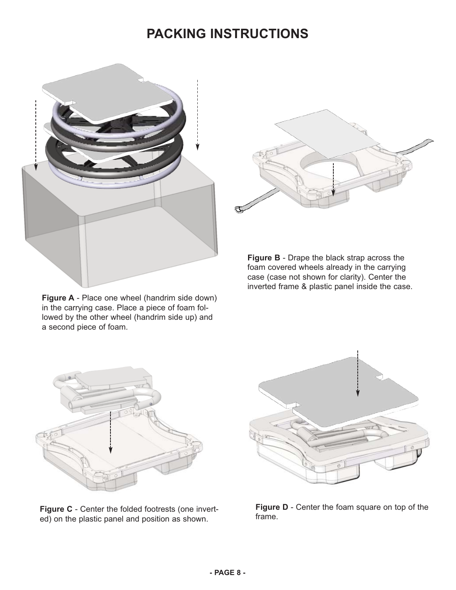## **PACKING INSTRUCTIONS**



**Figure A** - Place one wheel (handrim side down) in the carrying case. Place a piece of foam followed by the other wheel (handrim side up) and a second piece of foam.



**Figure B** - Drape the black strap across the foam covered wheels already in the carrying case (case not shown for clarity). Center the inverted frame & plastic panel inside the case.



**Figure C** - Center the folded footrests (one inverted) on the plastic panel and position as shown.



**Figure D** - Center the foam square on top of the frame.